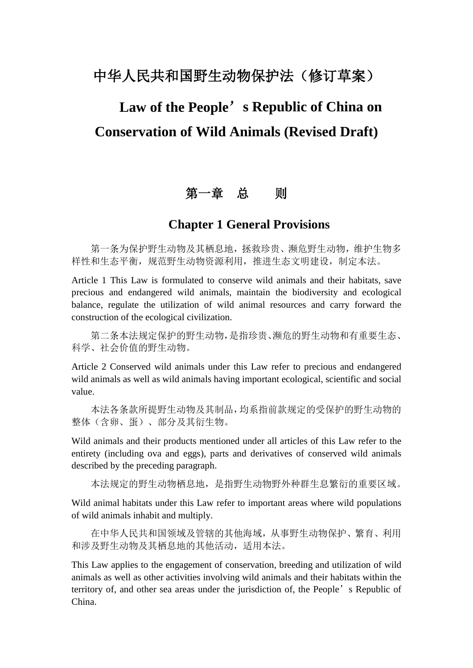## 中华人民共和国野生动物保护法(修订草案)

# **Law of the People**'**s Republic of China on Conservation of Wild Animals (Revised Draft)**

## 第一章 总 则

#### **Chapter 1 General Provisions**

第一条为保护野生动物及其栖息地,拯救珍贵、濒危野生动物,维护生物多 样性和生态平衡,规范野生动物资源利用,推进生态文明建设,制定本法。

Article 1 This Law is formulated to conserve wild animals and their habitats, save precious and endangered wild animals, maintain the biodiversity and ecological balance, regulate the utilization of wild animal resources and carry forward the construction of the ecological civilization.

第二条本法规定保护的野生动物,是指珍贵、濒危的野生动物和有重要生态、 科学、社会价值的野生动物。

Article 2 Conserved wild animals under this Law refer to precious and endangered wild animals as well as wild animals having important ecological, scientific and social value.

本法各条款所提野生动物及其制品,均系指前款规定的受保护的野生动物的 整体(含卵、蛋)、部分及其衍生物。

Wild animals and their products mentioned under all articles of this Law refer to the entirety (including ova and eggs), parts and derivatives of conserved wild animals described by the preceding paragraph.

本法规定的野生动物栖息地,是指野生动物野外种群生息繁衍的重要区域。

Wild animal habitats under this Law refer to important areas where wild populations of wild animals inhabit and multiply.

在中华人民共和国领域及管辖的其他海域,从事野生动物保护、繁育、利用 和涉及野生动物及其栖息地的其他活动,适用本法。

This Law applies to the engagement of conservation, breeding and utilization of wild animals as well as other activities involving wild animals and their habitats within the territory of, and other sea areas under the jurisdiction of, the People's Republic of China.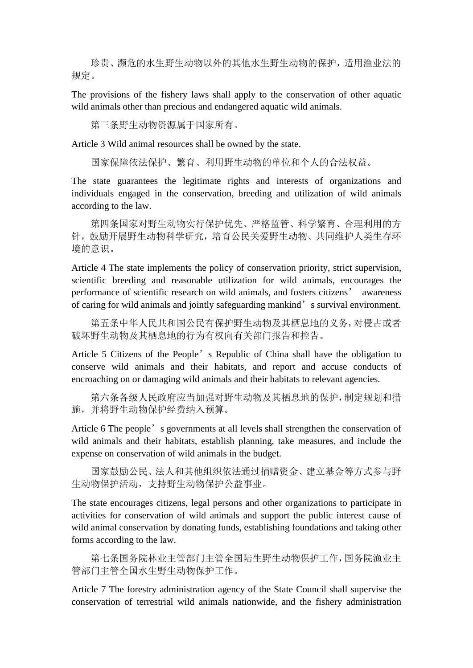珍贵、濒危的水生野生动物以外的其他水生野生动物的保护,适用渔业法的 规定。

The provisions of the fishery laws shall apply to the conservation of other aquatic wild animals other than precious and endangered aquatic wild animals.

第三条野生动物资源属于国家所有。

Article 3 Wild animal resources shall be owned by the state.

国家保障依法保护、繁育、利用野生动物的单位和个人的合法权益。

The state guarantees the legitimate rights and interests of organizations and individuals engaged in the conservation, breeding and utilization of wild animals according to the law.

第四条国家对野生动物实行保护优先、严格监管、科学繁育、合理利用的方 针,鼓励开展野生动物科学研究,培育公民关爱野生动物、共同维护人类生存环 境的意识。

Article 4 The state implements the policy of conservation priority, strict supervision, scientific breeding and reasonable utilization for wild animals, encourages the performance of scientific research on wild animals, and fosters citizens' awareness of caring for wild animals and jointly safeguarding mankind's survival environment.

第五条中华人民共和国公民有保护野生动物及其栖息地的义务,对侵占或者 破坏野生动物及其栖息地的行为有权向有关部门报告和控告。

Article 5 Citizens of the People's Republic of China shall have the obligation to conserve wild animals and their habitats, and report and accuse conducts of encroaching on or damaging wild animals and their habitats to relevant agencies.

第六条各级人民政府应当加强对野生动物及其栖息地的保护,制定规划和措 施,并将野生动物保护经费纳入预算。

Article 6 The people's governments at all levels shall strengthen the conservation of wild animals and their habitats, establish planning, take measures, and include the expense on conservation of wild animals in the budget.

国家鼓励公民、法人和其他组织依法通过捐赠资金、建立基金等方式参与野 生动物保护活动,支持野生动物保护公益事业。

The state encourages citizens, legal persons and other organizations to participate in activities for conservation of wild animals and support the public interest cause of wild animal conservation by donating funds, establishing foundations and taking other forms according to the law.

第七条国务院林业主管部门主管全国陆生野生动物保护工作,国务院渔业主 管部门主管全国水生野生动物保护工作。

Article 7 The forestry administration agency of the State Council shall supervise the conservation of terrestrial wild animals nationwide, and the fishery administration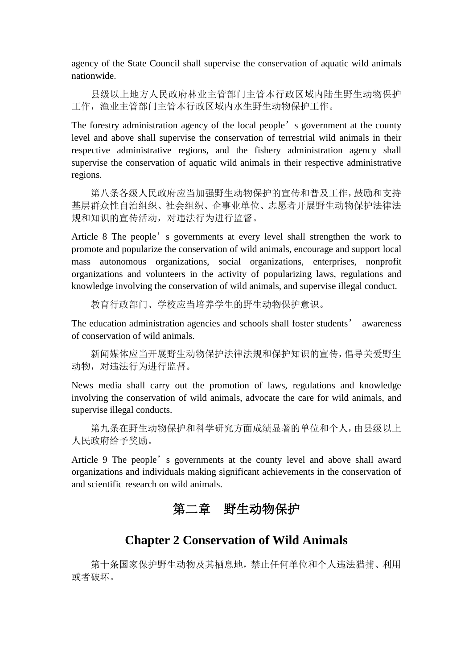agency of the State Council shall supervise the conservation of aquatic wild animals nationwide.

县级以上地方人民政府林业主管部门主管本行政区域内陆生野生动物保护 工作,渔业主管部门主管本行政区域内水生野生动物保护工作。

The forestry administration agency of the local people's government at the county level and above shall supervise the conservation of terrestrial wild animals in their respective administrative regions, and the fishery administration agency shall supervise the conservation of aquatic wild animals in their respective administrative regions.

第八条各级人民政府应当加强野生动物保护的宣传和普及工作,鼓励和支持 基层群众性自治组织、社会组织、企事业单位、志愿者开展野生动物保护法律法 规和知识的宣传活动,对违法行为进行监督。

Article 8 The people's governments at every level shall strengthen the work to promote and popularize the conservation of wild animals, encourage and support local mass autonomous organizations, social organizations, enterprises, nonprofit organizations and volunteers in the activity of popularizing laws, regulations and knowledge involving the conservation of wild animals, and supervise illegal conduct.

教育行政部门、学校应当培养学生的野生动物保护意识。

The education administration agencies and schools shall foster students' awareness of conservation of wild animals.

新闻媒体应当开展野生动物保护法律法规和保护知识的宣传,倡导关爱野生 动物,对违法行为进行监督。

News media shall carry out the promotion of laws, regulations and knowledge involving the conservation of wild animals, advocate the care for wild animals, and supervise illegal conducts.

第九条在野生动物保护和科学研究方面成绩显著的单位和个人,由县级以上 人民政府给予奖励。

Article 9 The people's governments at the county level and above shall award organizations and individuals making significant achievements in the conservation of and scientific research on wild animals.

## 第二章 野生动物保护

## **Chapter 2 Conservation of Wild Animals**

第十条国家保护野生动物及其栖息地,禁止任何单位和个人违法猎捕、利用 或者破坏。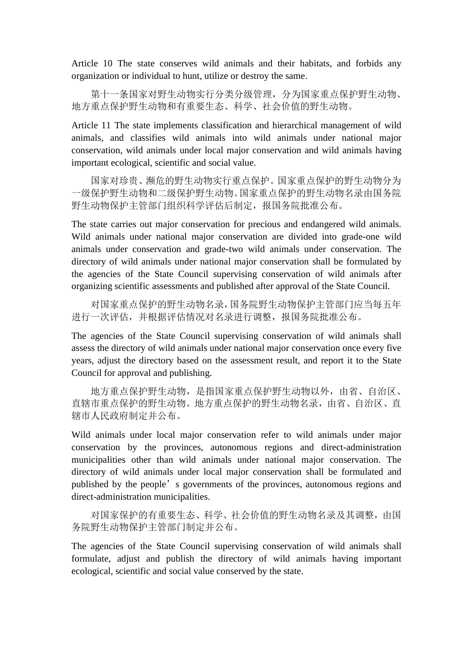Article 10 The state conserves wild animals and their habitats, and forbids any organization or individual to hunt, utilize or destroy the same.

第十一条国家对野生动物实行分类分级管理,分为国家重点保护野生动物、 地方重点保护野生动物和有重要生态、科学、社会价值的野生动物。

Article 11 The state implements classification and hierarchical management of wild animals, and classifies wild animals into wild animals under national major conservation, wild animals under local major conservation and wild animals having important ecological, scientific and social value.

国家对珍贵、濒危的野生动物实行重点保护。国家重点保护的野生动物分为 一级保护野生动物和二级保护野生动物。国家重点保护的野生动物名录由国务院 野生动物保护主管部门组织科学评估后制定,报国务院批准公布。

The state carries out major conservation for precious and endangered wild animals. Wild animals under national major conservation are divided into grade-one wild animals under conservation and grade-two wild animals under conservation. The directory of wild animals under national major conservation shall be formulated by the agencies of the State Council supervising conservation of wild animals after organizing scientific assessments and published after approval of the State Council.

对国家重点保护的野生动物名录,国务院野生动物保护主管部门应当每五年 进行一次评估,并根据评估情况对名录进行调整,报国务院批准公布。

The agencies of the State Council supervising conservation of wild animals shall assess the directory of wild animals under national major conservation once every five years, adjust the directory based on the assessment result, and report it to the State Council for approval and publishing.

地方重点保护野生动物,是指国家重点保护野生动物以外,由省、自治区、 直辖市重点保护的野生动物。地方重点保护的野生动物名录,由省、自治区、直 辖市人民政府制定并公布。

Wild animals under local major conservation refer to wild animals under major conservation by the provinces, autonomous regions and direct-administration municipalities other than wild animals under national major conservation. The directory of wild animals under local major conservation shall be formulated and published by the people's governments of the provinces, autonomous regions and direct-administration municipalities.

对国家保护的有重要生态、科学、社会价值的野生动物名录及其调整,由国 务院野生动物保护主管部门制定并公布。

The agencies of the State Council supervising conservation of wild animals shall formulate, adjust and publish the directory of wild animals having important ecological, scientific and social value conserved by the state.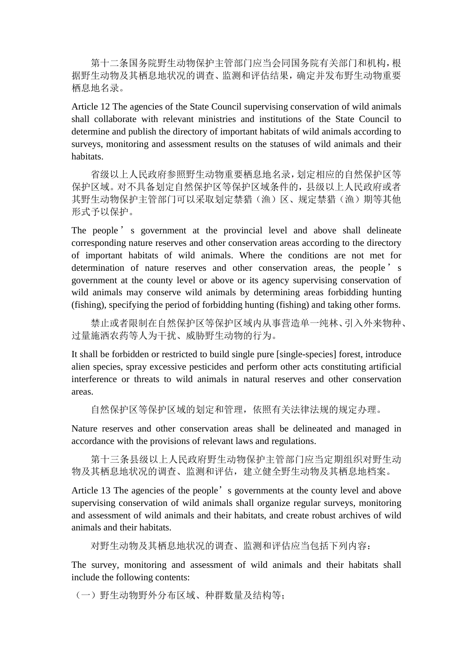第十二条国务院野生动物保护主管部门应当会同国务院有关部门和机构,根 据野生动物及其栖息地状况的调查、监测和评估结果,确定并发布野生动物重要 栖息地名录。

Article 12 The agencies of the State Council supervising conservation of wild animals shall collaborate with relevant ministries and institutions of the State Council to determine and publish the directory of important habitats of wild animals according to surveys, monitoring and assessment results on the statuses of wild animals and their habitats.

省级以上人民政府参照野生动物重要栖息地名录,划定相应的自然保护区等 保护区域。对不具备划定自然保护区等保护区域条件的,县级以上人民政府或者 其野生动物保护主管部门可以采取划定禁猎(渔)区、规定禁猎(渔)期等其他 形式予以保护。

The people's government at the provincial level and above shall delineate corresponding nature reserves and other conservation areas according to the directory of important habitats of wild animals. Where the conditions are not met for determination of nature reserves and other conservation areas, the people's government at the county level or above or its agency supervising conservation of wild animals may conserve wild animals by determining areas forbidding hunting (fishing), specifying the period of forbidding hunting (fishing) and taking other forms.

禁止或者限制在自然保护区等保护区域内从事营造单一纯林、引入外来物种、 过量施洒农药等人为干扰、威胁野生动物的行为。

It shall be forbidden or restricted to build single pure [single-species] forest, introduce alien species, spray excessive pesticides and perform other acts constituting artificial interference or threats to wild animals in natural reserves and other conservation areas.

自然保护区等保护区域的划定和管理,依照有关法律法规的规定办理。

Nature reserves and other conservation areas shall be delineated and managed in accordance with the provisions of relevant laws and regulations.

第十三条县级以上人民政府野生动物保护主管部门应当定期组织对野生动 物及其栖息地状况的调查、监测和评估,建立健全野生动物及其栖息地档案。

Article 13 The agencies of the people's governments at the county level and above supervising conservation of wild animals shall organize regular surveys, monitoring and assessment of wild animals and their habitats, and create robust archives of wild animals and their habitats.

对野生动物及其栖息地状况的调查、监测和评估应当包括下列内容:

The survey, monitoring and assessment of wild animals and their habitats shall include the following contents:

(一)野生动物野外分布区域、种群数量及结构等;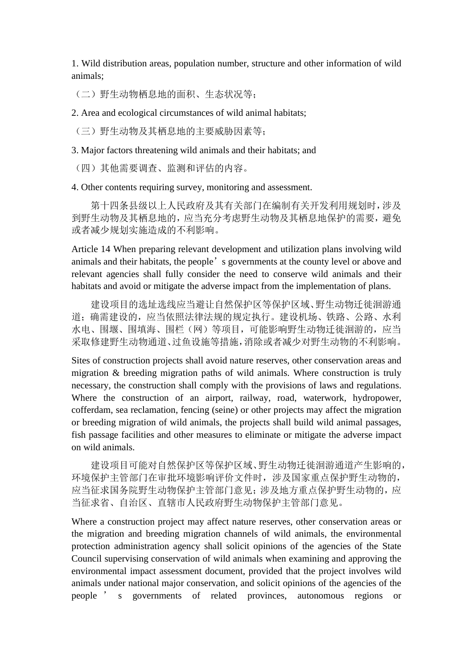1. Wild distribution areas, population number, structure and other information of wild animals;

(二)野生动物栖息地的面积、生态状况等;

2. Area and ecological circumstances of wild animal habitats;

(三)野生动物及其栖息地的主要威胁因素等;

3. Major factors threatening wild animals and their habitats; and

(四)其他需要调查、监测和评估的内容。

4. Other contents requiring survey, monitoring and assessment.

第十四条县级以上人民政府及其有关部门在编制有关开发利用规划时,涉及 到野生动物及其栖息地的,应当充分考虑野生动物及其栖息地保护的需要,避免 或者减少规划实施造成的不利影响。

Article 14 When preparing relevant development and utilization plans involving wild animals and their habitats, the people's governments at the county level or above and relevant agencies shall fully consider the need to conserve wild animals and their habitats and avoid or mitigate the adverse impact from the implementation of plans.

建设项目的选址选线应当避让自然保护区等保护区域、野生动物迁徙洄游通 道;确需建设的,应当依照法律法规的规定执行。建设机场、铁路、公路、水利 水电、围堰、围填海、围栏(网)等项目,可能影响野生动物迁徙洄游的,应当 采取修建野生动物通道、过鱼设施等措施,消除或者减少对野生动物的不利影响。

Sites of construction projects shall avoid nature reserves, other conservation areas and migration & breeding migration paths of wild animals. Where construction is truly necessary, the construction shall comply with the provisions of laws and regulations. Where the construction of an airport, railway, road, waterwork, hydropower, cofferdam, sea reclamation, fencing (seine) or other projects may affect the migration or breeding migration of wild animals, the projects shall build wild animal passages, fish passage facilities and other measures to eliminate or mitigate the adverse impact on wild animals.

建设项目可能对自然保护区等保护区域、野生动物迁徙洄游通道产生影响的, 环境保护主管部门在审批环境影响评价文件时,涉及国家重点保护野生动物的, 应当征求国务院野生动物保护主管部门意见;涉及地方重点保护野生动物的,应 当征求省、自治区、直辖市人民政府野生动物保护主管部门意见。

Where a construction project may affect nature reserves, other conservation areas or the migration and breeding migration channels of wild animals, the environmental protection administration agency shall solicit opinions of the agencies of the State Council supervising conservation of wild animals when examining and approving the environmental impact assessment document, provided that the project involves wild animals under national major conservation, and solicit opinions of the agencies of the people ' s governments of related provinces, autonomous regions or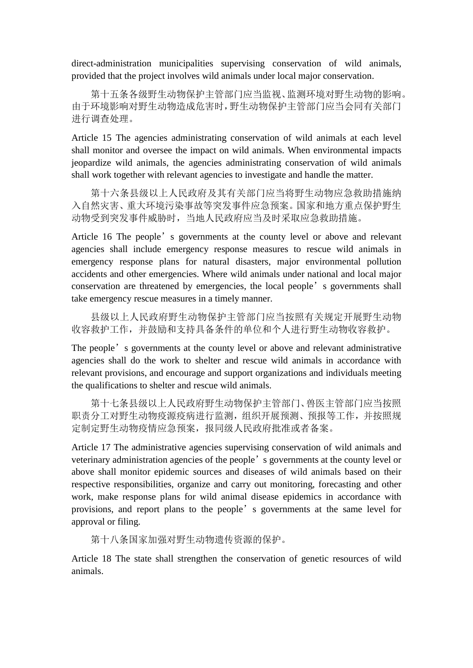direct-administration municipalities supervising conservation of wild animals, provided that the project involves wild animals under local major conservation.

第十五条各级野生动物保护主管部门应当监视、监测环境对野生动物的影响。 由于环境影响对野生动物造成危害时,野生动物保护主管部门应当会同有关部门 进行调查处理。

Article 15 The agencies administrating conservation of wild animals at each level shall monitor and oversee the impact on wild animals. When environmental impacts jeopardize wild animals, the agencies administrating conservation of wild animals shall work together with relevant agencies to investigate and handle the matter.

第十六条县级以上人民政府及其有关部门应当将野生动物应急救助措施纳 入自然灾害、重大环境污染事故等突发事件应急预案。国家和地方重点保护野生 动物受到突发事件威胁时,当地人民政府应当及时采取应急救助措施。

Article 16 The people's governments at the county level or above and relevant agencies shall include emergency response measures to rescue wild animals in emergency response plans for natural disasters, major environmental pollution accidents and other emergencies. Where wild animals under national and local major conservation are threatened by emergencies, the local people's governments shall take emergency rescue measures in a timely manner.

县级以上人民政府野生动物保护主管部门应当按照有关规定开展野生动物 收容救护工作,并鼓励和支持具备条件的单位和个人进行野生动物收容救护。

The people's governments at the county level or above and relevant administrative agencies shall do the work to shelter and rescue wild animals in accordance with relevant provisions, and encourage and support organizations and individuals meeting the qualifications to shelter and rescue wild animals.

第十七条县级以上人民政府野生动物保护主管部门、兽医主管部门应当按照 职责分工对野生动物疫源疫病进行监测,组织开展预测、预报等工作,并按照规 定制定野生动物疫情应急预案,报同级人民政府批准或者备案。

Article 17 The administrative agencies supervising conservation of wild animals and veterinary administration agencies of the people's governments at the county level or above shall monitor epidemic sources and diseases of wild animals based on their respective responsibilities, organize and carry out monitoring, forecasting and other work, make response plans for wild animal disease epidemics in accordance with provisions, and report plans to the people's governments at the same level for approval or filing.

第十八条国家加强对野生动物遗传资源的保护。

Article 18 The state shall strengthen the conservation of genetic resources of wild animals.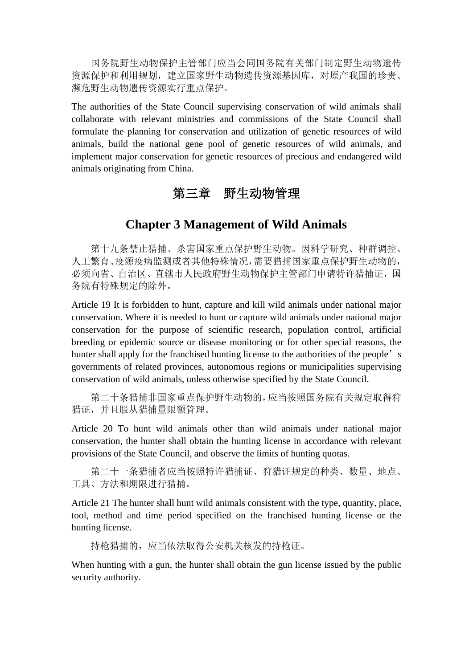国务院野生动物保护主管部门应当会同国务院有关部门制定野生动物遗传 资源保护和利用规划,建立国家野生动物遗传资源基因库,对原产我国的珍贵、 濒危野生动物遗传资源实行重点保护。

The authorities of the State Council supervising conservation of wild animals shall collaborate with relevant ministries and commissions of the State Council shall formulate the planning for conservation and utilization of genetic resources of wild animals, build the national gene pool of genetic resources of wild animals, and implement major conservation for genetic resources of precious and endangered wild animals originating from China.

## 第三章 野生动物管理

#### **Chapter 3 Management of Wild Animals**

第十九条禁止猎捕、杀害国家重点保护野生动物。因科学研究、种群调控、 人工繁育、疫源疫病监测或者其他特殊情况,需要猎捕国家重点保护野生动物的, 必须向省、自治区、直辖市人民政府野生动物保护主管部门申请特许猎捕证,国 务院有特殊规定的除外。

Article 19 It is forbidden to hunt, capture and kill wild animals under national major conservation. Where it is needed to hunt or capture wild animals under national major conservation for the purpose of scientific research, population control, artificial breeding or epidemic source or disease monitoring or for other special reasons, the hunter shall apply for the franchised hunting license to the authorities of the people's governments of related provinces, autonomous regions or municipalities supervising conservation of wild animals, unless otherwise specified by the State Council.

第二十条猎捕非国家重点保护野生动物的,应当按照国务院有关规定取得狩 猎证,并且服从猎捕量限额管理。

Article 20 To hunt wild animals other than wild animals under national major conservation, the hunter shall obtain the hunting license in accordance with relevant provisions of the State Council, and observe the limits of hunting quotas.

第二十一条猎捕者应当按照特许猎捕证、狩猎证规定的种类、数量、地点、 工具、方法和期限进行猎捕。

Article 21 The hunter shall hunt wild animals consistent with the type, quantity, place, tool, method and time period specified on the franchised hunting license or the hunting license.

持枪猎捕的,应当依法取得公安机关核发的持枪证。

When hunting with a gun, the hunter shall obtain the gun license issued by the public security authority.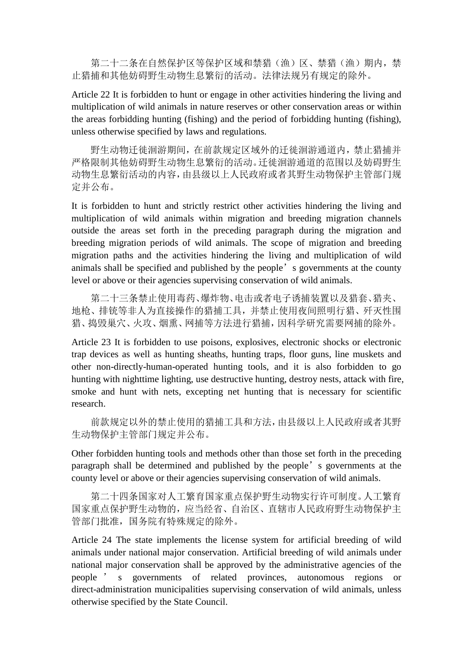第二十二条在自然保护区等保护区域和禁猎(渔)区、禁猎(渔)期内,禁 止猎捕和其他妨碍野生动物生息繁衍的活动。法律法规另有规定的除外。

Article 22 It is forbidden to hunt or engage in other activities hindering the living and multiplication of wild animals in nature reserves or other conservation areas or within the areas forbidding hunting (fishing) and the period of forbidding hunting (fishing), unless otherwise specified by laws and regulations.

野生动物迁徙洄游期间,在前款规定区域外的迁徙洄游通道内,禁止猎捕并 严格限制其他妨碍野生动物生息繁衍的活动。迁徙洄游通道的范围以及妨碍野生 动物生息繁衍活动的内容,由县级以上人民政府或者其野生动物保护主管部门规 定并公布。

It is forbidden to hunt and strictly restrict other activities hindering the living and multiplication of wild animals within migration and breeding migration channels outside the areas set forth in the preceding paragraph during the migration and breeding migration periods of wild animals. The scope of migration and breeding migration paths and the activities hindering the living and multiplication of wild animals shall be specified and published by the people's governments at the county level or above or their agencies supervising conservation of wild animals.

第二十三条禁止使用毒药、爆炸物、电击或者电子诱捕装置以及猎套、猎夹、 地枪、排铳等非人为直接操作的猎捕工具,并禁止使用夜间照明行猎、歼灭性围 猎、捣毁巢穴、火攻、烟熏、网捕等方法进行猎捕,因科学研究需要网捕的除外。

Article 23 It is forbidden to use poisons, explosives, electronic shocks or electronic trap devices as well as hunting sheaths, hunting traps, floor guns, line muskets and other non-directly-human-operated hunting tools, and it is also forbidden to go hunting with nighttime lighting, use destructive hunting, destroy nests, attack with fire, smoke and hunt with nets, excepting net hunting that is necessary for scientific research.

前款规定以外的禁止使用的猎捕工具和方法,由县级以上人民政府或者其野 生动物保护主管部门规定并公布。

Other forbidden hunting tools and methods other than those set forth in the preceding paragraph shall be determined and published by the people's governments at the county level or above or their agencies supervising conservation of wild animals.

第二十四条国家对人工繁育国家重点保护野生动物实行许可制度。人工繁育 国家重点保护野生动物的,应当经省、自治区、直辖市人民政府野生动物保护主 管部门批准,国务院有特殊规定的除外。

Article 24 The state implements the license system for artificial breeding of wild animals under national major conservation. Artificial breeding of wild animals under national major conservation shall be approved by the administrative agencies of the people ' s governments of related provinces, autonomous regions or direct-administration municipalities supervising conservation of wild animals, unless otherwise specified by the State Council.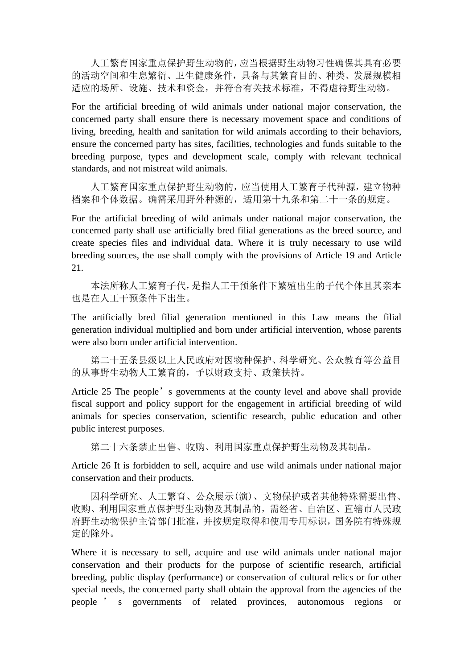人工繁育国家重点保护野生动物的,应当根据野生动物习性确保其具有必要 的活动空间和生息繁衍、卫生健康条件,具备与其繁育目的、种类、发展规模相 适应的场所、设施、技术和资金,并符合有关技术标准,不得虐待野生动物。

For the artificial breeding of wild animals under national major conservation, the concerned party shall ensure there is necessary movement space and conditions of living, breeding, health and sanitation for wild animals according to their behaviors, ensure the concerned party has sites, facilities, technologies and funds suitable to the breeding purpose, types and development scale, comply with relevant technical standards, and not mistreat wild animals.

人工繁育国家重点保护野生动物的,应当使用人工繁育子代种源,建立物种 档案和个体数据。确需采用野外种源的,适用第十九条和第二十一条的规定。

For the artificial breeding of wild animals under national major conservation, the concerned party shall use artificially bred filial generations as the breed source, and create species files and individual data. Where it is truly necessary to use wild breeding sources, the use shall comply with the provisions of Article 19 and Article 21.

本法所称人工繁育子代,是指人工干预条件下繁殖出生的子代个体且其亲本 也是在人工干预条件下出生。

The artificially bred filial generation mentioned in this Law means the filial generation individual multiplied and born under artificial intervention, whose parents were also born under artificial intervention.

第二十五条县级以上人民政府对因物种保护、科学研究、公众教育等公益目 的从事野生动物人工繁育的,予以财政支持、政策扶持。

Article 25 The people's governments at the county level and above shall provide fiscal support and policy support for the engagement in artificial breeding of wild animals for species conservation, scientific research, public education and other public interest purposes.

第二十六条禁止出售、收购、利用国家重点保护野生动物及其制品。

Article 26 It is forbidden to sell, acquire and use wild animals under national major conservation and their products.

因科学研究、人工繁育、公众展示(演)、文物保护或者其他特殊需要出售、 收购、利用国家重点保护野生动物及其制品的,需经省、自治区、直辖市人民政 府野生动物保护主管部门批准,并按规定取得和使用专用标识,国务院有特殊规 定的除外。

Where it is necessary to sell, acquire and use wild animals under national major conservation and their products for the purpose of scientific research, artificial breeding, public display (performance) or conservation of cultural relics or for other special needs, the concerned party shall obtain the approval from the agencies of the people ' s governments of related provinces, autonomous regions or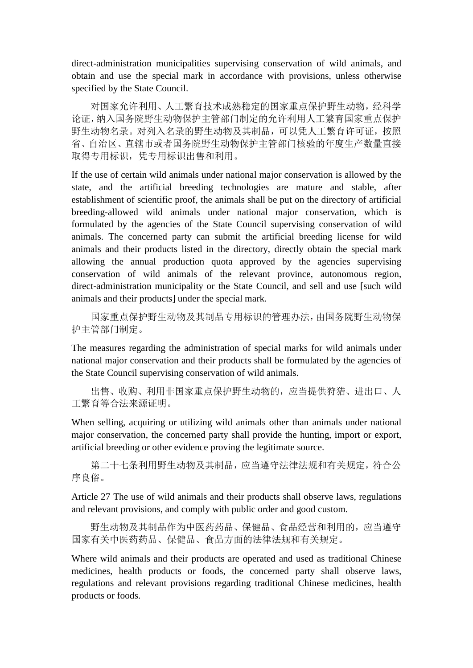direct-administration municipalities supervising conservation of wild animals, and obtain and use the special mark in accordance with provisions, unless otherwise specified by the State Council.

对国家允许利用、人工繁育技术成熟稳定的国家重点保护野生动物,经科学 论证,纳入国务院野生动物保护主管部门制定的允许利用人工繁育国家重点保护 野生动物名录。对列入名录的野生动物及其制品,可以凭人工繁育许可证,按照 省、自治区、直辖市或者国务院野生动物保护主管部门核验的年度生产数量直接 取得专用标识,凭专用标识出售和利用。

If the use of certain wild animals under national major conservation is allowed by the state, and the artificial breeding technologies are mature and stable, after establishment of scientific proof, the animals shall be put on the directory of artificial breeding-allowed wild animals under national major conservation, which is formulated by the agencies of the State Council supervising conservation of wild animals. The concerned party can submit the artificial breeding license for wild animals and their products listed in the directory, directly obtain the special mark allowing the annual production quota approved by the agencies supervising conservation of wild animals of the relevant province, autonomous region, direct-administration municipality or the State Council, and sell and use [such wild animals and their products] under the special mark.

国家重点保护野生动物及其制品专用标识的管理办法,由国务院野生动物保 护主管部门制定。

The measures regarding the administration of special marks for wild animals under national major conservation and their products shall be formulated by the agencies of the State Council supervising conservation of wild animals.

出售、收购、利用非国家重点保护野生动物的,应当提供狩猎、进出口、人 工繁育等合法来源证明。

When selling, acquiring or utilizing wild animals other than animals under national major conservation, the concerned party shall provide the hunting, import or export, artificial breeding or other evidence proving the legitimate source.

第二十七条利用野生动物及其制品,应当遵守法律法规和有关规定,符合公 序良俗。

Article 27 The use of wild animals and their products shall observe laws, regulations and relevant provisions, and comply with public order and good custom.

野生动物及其制品作为中医药药品、保健品、食品经营和利用的,应当遵守 国家有关中医药药品、保健品、食品方面的法律法规和有关规定。

Where wild animals and their products are operated and used as traditional Chinese medicines, health products or foods, the concerned party shall observe laws, regulations and relevant provisions regarding traditional Chinese medicines, health products or foods.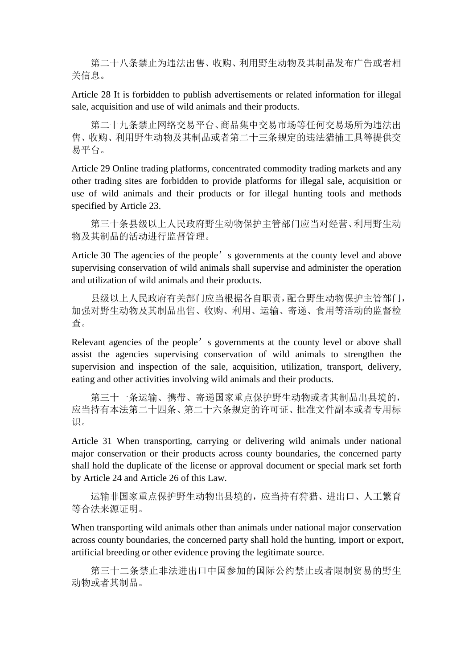第二十八条禁止为违法出售、收购、利用野生动物及其制品发布广告或者相 关信息。

Article 28 It is forbidden to publish advertisements or related information for illegal sale, acquisition and use of wild animals and their products.

第二十九条禁止网络交易平台、商品集中交易市场等任何交易场所为违法出 售、收购、利用野生动物及其制品或者第二十三条规定的违法猎捕工具等提供交 易平台。

Article 29 Online trading platforms, concentrated commodity trading markets and any other trading sites are forbidden to provide platforms for illegal sale, acquisition or use of wild animals and their products or for illegal hunting tools and methods specified by Article 23.

第三十条县级以上人民政府野生动物保护主管部门应当对经营、利用野生动 物及其制品的活动进行监督管理。

Article 30 The agencies of the people's governments at the county level and above supervising conservation of wild animals shall supervise and administer the operation and utilization of wild animals and their products.

县级以上人民政府有关部门应当根据各自职责,配合野生动物保护主管部门, 加强对野生动物及其制品出售、收购、利用、运输、寄递、食用等活动的监督检 查。

Relevant agencies of the people's governments at the county level or above shall assist the agencies supervising conservation of wild animals to strengthen the supervision and inspection of the sale, acquisition, utilization, transport, delivery, eating and other activities involving wild animals and their products.

第三十一条运输、携带、寄递国家重点保护野生动物或者其制品出县境的, 应当持有本法第二十四条、第二十六条规定的许可证、批准文件副本或者专用标 识。

Article 31 When transporting, carrying or delivering wild animals under national major conservation or their products across county boundaries, the concerned party shall hold the duplicate of the license or approval document or special mark set forth by Article 24 and Article 26 of this Law.

运输非国家重点保护野生动物出县境的,应当持有狩猎、进出口、人工繁育 等合法来源证明。

When transporting wild animals other than animals under national major conservation across county boundaries, the concerned party shall hold the hunting, import or export, artificial breeding or other evidence proving the legitimate source.

第三十二条禁止非法进出口中国参加的国际公约禁止或者限制贸易的野生 动物或者其制品。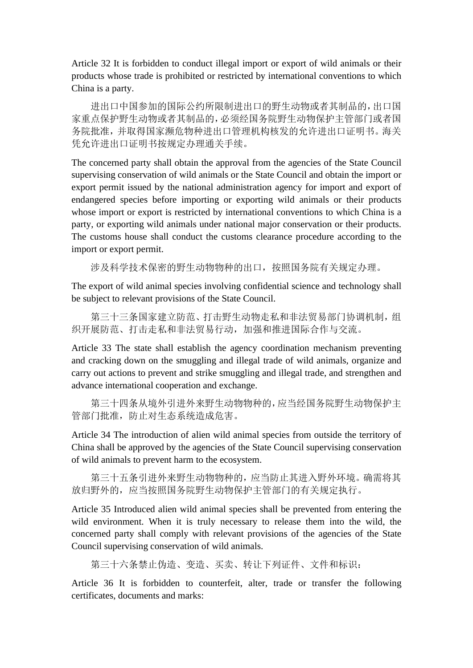Article 32 It is forbidden to conduct illegal import or export of wild animals or their products whose trade is prohibited or restricted by international conventions to which China is a party.

进出口中国参加的国际公约所限制进出口的野生动物或者其制品的,出口国 家重点保护野生动物或者其制品的,必须经国务院野生动物保护主管部门或者国 务院批准,并取得国家濒危物种进出口管理机构核发的允许进出口证明书。海关 凭允许进出口证明书按规定办理通关手续。

The concerned party shall obtain the approval from the agencies of the State Council supervising conservation of wild animals or the State Council and obtain the import or export permit issued by the national administration agency for import and export of endangered species before importing or exporting wild animals or their products whose import or export is restricted by international conventions to which China is a party, or exporting wild animals under national major conservation or their products. The customs house shall conduct the customs clearance procedure according to the import or export permit.

涉及科学技术保密的野生动物物种的出口,按照国务院有关规定办理。

The export of wild animal species involving confidential science and technology shall be subject to relevant provisions of the State Council.

第三十三条国家建立防范、打击野生动物走私和非法贸易部门协调机制,组 织开展防范、打击走私和非法贸易行动,加强和推进国际合作与交流。

Article 33 The state shall establish the agency coordination mechanism preventing and cracking down on the smuggling and illegal trade of wild animals, organize and carry out actions to prevent and strike smuggling and illegal trade, and strengthen and advance international cooperation and exchange.

第三十四条从境外引进外来野生动物物种的,应当经国务院野生动物保护主 管部门批准,防止对生态系统造成危害。

Article 34 The introduction of alien wild animal species from outside the territory of China shall be approved by the agencies of the State Council supervising conservation of wild animals to prevent harm to the ecosystem.

第三十五条引进外来野生动物物种的,应当防止其进入野外环境。确需将其 放归野外的,应当按照国务院野生动物保护主管部门的有关规定执行。

Article 35 Introduced alien wild animal species shall be prevented from entering the wild environment. When it is truly necessary to release them into the wild, the concerned party shall comply with relevant provisions of the agencies of the State Council supervising conservation of wild animals.

第三十六条禁止伪造、变造、买卖、转让下列证件、文件和标识:

Article 36 It is forbidden to counterfeit, alter, trade or transfer the following certificates, documents and marks: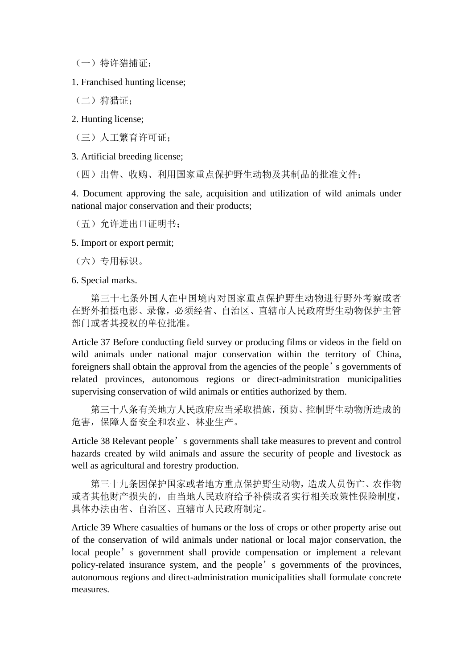(一)特许猎捕证;

1. Franchised hunting license;

(二)狩猎证;

2. Hunting license;

(三)人工繁育许可证;

3. Artificial breeding license;

(四)出售、收购、利用国家重点保护野生动物及其制品的批准文件;

4. Document approving the sale, acquisition and utilization of wild animals under national major conservation and their products;

(五)允许进出口证明书;

5. Import or export permit;

(六)专用标识。

6. Special marks.

第三十七条外国人在中国境内对国家重点保护野生动物进行野外考察或者 在野外拍摄电影、录像,必须经省、自治区、直辖市人民政府野生动物保护主管 部门或者其授权的单位批准。

Article 37 Before conducting field survey or producing films or videos in the field on wild animals under national major conservation within the territory of China, foreigners shall obtain the approval from the agencies of the people's governments of related provinces, autonomous regions or direct-adminitstration municipalities supervising conservation of wild animals or entities authorized by them.

第三十八条有关地方人民政府应当采取措施,预防、控制野生动物所造成的 危害,保障人畜安全和农业、林业生产。

Article 38 Relevant people's governments shall take measures to prevent and control hazards created by wild animals and assure the security of people and livestock as well as agricultural and forestry production.

第三十九条因保护国家或者地方重点保护野生动物,造成人员伤亡、农作物 或者其他财产损失的,由当地人民政府给予补偿或者实行相关政策性保险制度, 具体办法由省、自治区、直辖市人民政府制定。

Article 39 Where casualties of humans or the loss of crops or other property arise out of the conservation of wild animals under national or local major conservation, the local people's government shall provide compensation or implement a relevant policy-related insurance system, and the people's governments of the provinces, autonomous regions and direct-administration municipalities shall formulate concrete measures.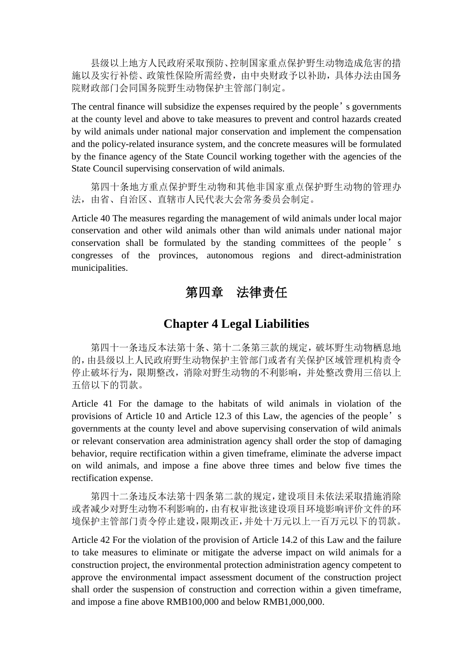县级以上地方人民政府采取预防、控制国家重点保护野生动物造成危害的措 施以及实行补偿、政策性保险所需经费,由中央财政予以补助,具体办法由国务 院财政部门会同国务院野生动物保护主管部门制定。

The central finance will subsidize the expenses required by the people's governments at the county level and above to take measures to prevent and control hazards created by wild animals under national major conservation and implement the compensation and the policy-related insurance system, and the concrete measures will be formulated by the finance agency of the State Council working together with the agencies of the State Council supervising conservation of wild animals.

第四十条地方重点保护野生动物和其他非国家重点保护野生动物的管理办 法,由省、自治区、直辖市人民代表大会常务委员会制定。

Article 40 The measures regarding the management of wild animals under local major conservation and other wild animals other than wild animals under national major conservation shall be formulated by the standing committees of the people's congresses of the provinces, autonomous regions and direct-administration municipalities.

## 第四章 法律责任

#### **Chapter 4 Legal Liabilities**

第四十一条违反本法第十条、第十二条第三款的规定,破坏野生动物栖息地 的,由县级以上人民政府野生动物保护主管部门或者有关保护区域管理机构责令 停止破坏行为,限期整改,消除对野生动物的不利影响,并处整改费用三倍以上 五倍以下的罚款。

Article 41 For the damage to the habitats of wild animals in violation of the provisions of Article 10 and Article 12.3 of this Law, the agencies of the people's governments at the county level and above supervising conservation of wild animals or relevant conservation area administration agency shall order the stop of damaging behavior, require rectification within a given timeframe, eliminate the adverse impact on wild animals, and impose a fine above three times and below five times the rectification expense.

第四十二条违反本法第十四条第二款的规定,建设项目未依法采取措施消除 或者减少对野生动物不利影响的,由有权审批该建设项目环境影响评价文件的环 境保护主管部门责令停止建设,限期改正,并处十万元以上一百万元以下的罚款。

Article 42 For the violation of the provision of Article 14.2 of this Law and the failure to take measures to eliminate or mitigate the adverse impact on wild animals for a construction project, the environmental protection administration agency competent to approve the environmental impact assessment document of the construction project shall order the suspension of construction and correction within a given timeframe, and impose a fine above RMB100,000 and below RMB1,000,000.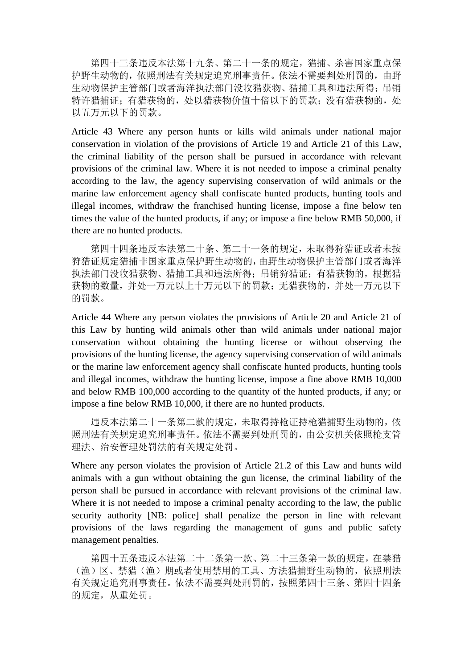第四十三条违反本法第十九条、第二十一条的规定,猎捕、杀害国家重点保 护野生动物的,依照刑法有关规定追究刑事责任。依法不需要判处刑罚的,由野 生动物保护主管部门或者海洋执法部门没收猎获物、猎捕工具和违法所得;吊销 特许猎捕证;有猎获物的,处以猎获物价值十倍以下的罚款;没有猎获物的,处 以五万元以下的罚款。

Article 43 Where any person hunts or kills wild animals under national major conservation in violation of the provisions of Article 19 and Article 21 of this Law, the criminal liability of the person shall be pursued in accordance with relevant provisions of the criminal law. Where it is not needed to impose a criminal penalty according to the law, the agency supervising conservation of wild animals or the marine law enforcement agency shall confiscate hunted products, hunting tools and illegal incomes, withdraw the franchised hunting license, impose a fine below ten times the value of the hunted products, if any; or impose a fine below RMB 50,000, if there are no hunted products.

第四十四条违反本法第二十条、第二十一条的规定,未取得狩猎证或者未按 狩猎证规定猎捕非国家重点保护野生动物的,由野生动物保护主管部门或者海洋 执法部门没收猎获物、猎捕工具和违法所得;吊销狩猎证;有猎获物的,根据猎 获物的数量,并处一万元以上十万元以下的罚款;无猎获物的,并处一万元以下 的罚款。

Article 44 Where any person violates the provisions of Article 20 and Article 21 of this Law by hunting wild animals other than wild animals under national major conservation without obtaining the hunting license or without observing the provisions of the hunting license, the agency supervising conservation of wild animals or the marine law enforcement agency shall confiscate hunted products, hunting tools and illegal incomes, withdraw the hunting license, impose a fine above RMB 10,000 and below RMB 100,000 according to the quantity of the hunted products, if any; or impose a fine below RMB 10,000, if there are no hunted products.

违反本法第二十一条第二款的规定,未取得持枪证持枪猎捕野生动物的,依 照刑法有关规定追究刑事责任。依法不需要判处刑罚的,由公安机关依照枪支管 理法、治安管理处罚法的有关规定处罚。

Where any person violates the provision of Article 21.2 of this Law and hunts wild animals with a gun without obtaining the gun license, the criminal liability of the person shall be pursued in accordance with relevant provisions of the criminal law. Where it is not needed to impose a criminal penalty according to the law, the public security authority [NB: police] shall penalize the person in line with relevant provisions of the laws regarding the management of guns and public safety management penalties.

第四十五条违反本法第二十二条第一款、第二十三条第一款的规定,在禁猎 (渔)区、禁猎(渔)期或者使用禁用的工具、方法猎捕野生动物的,依照刑法 有关规定追究刑事责任。依法不需要判处刑罚的,按照第四十三条、第四十四条 的规定,从重处罚。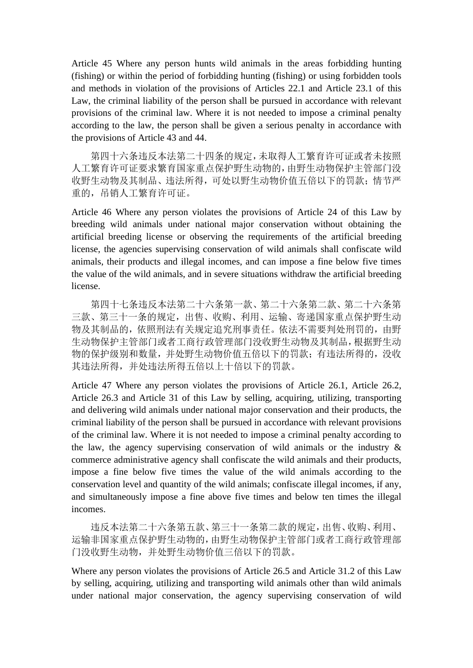Article 45 Where any person hunts wild animals in the areas forbidding hunting (fishing) or within the period of forbidding hunting (fishing) or using forbidden tools and methods in violation of the provisions of Articles 22.1 and Article 23.1 of this Law, the criminal liability of the person shall be pursued in accordance with relevant provisions of the criminal law. Where it is not needed to impose a criminal penalty according to the law, the person shall be given a serious penalty in accordance with the provisions of Article 43 and 44.

第四十六条违反本法第二十四条的规定,未取得人工繁育许可证或者未按照 人工繁育许可证要求繁育国家重点保护野生动物的,由野生动物保护主管部门没 收野生动物及其制品、违法所得,可处以野生动物价值五倍以下的罚款;情节严 重的,吊销人工繁育许可证。

Article 46 Where any person violates the provisions of Article 24 of this Law by breeding wild animals under national major conservation without obtaining the artificial breeding license or observing the requirements of the artificial breeding license, the agencies supervising conservation of wild animals shall confiscate wild animals, their products and illegal incomes, and can impose a fine below five times the value of the wild animals, and in severe situations withdraw the artificial breeding license.

第四十七条违反本法第二十六条第一款、第二十六条第二款、第二十六条第 三款、第三十一条的规定,出售、收购、利用、运输、寄递国家重点保护野生动 物及其制品的,依照刑法有关规定追究刑事责任。依法不需要判处刑罚的,由野 生动物保护主管部门或者工商行政管理部门没收野生动物及其制品,根据野生动 物的保护级别和数量,并处野生动物价值五倍以下的罚款;有违法所得的,没收 其违法所得,并处违法所得五倍以上十倍以下的罚款。

Article 47 Where any person violates the provisions of Article 26.1, Article 26.2, Article 26.3 and Article 31 of this Law by selling, acquiring, utilizing, transporting and delivering wild animals under national major conservation and their products, the criminal liability of the person shall be pursued in accordance with relevant provisions of the criminal law. Where it is not needed to impose a criminal penalty according to the law, the agency supervising conservation of wild animals or the industry & commerce administrative agency shall confiscate the wild animals and their products, impose a fine below five times the value of the wild animals according to the conservation level and quantity of the wild animals; confiscate illegal incomes, if any, and simultaneously impose a fine above five times and below ten times the illegal incomes.

违反本法第二十六条第五款、第三十一条第二款的规定,出售、收购、利用、 运输非国家重点保护野生动物的,由野生动物保护主管部门或者工商行政管理部 门没收野生动物,并处野生动物价值三倍以下的罚款。

Where any person violates the provisions of Article 26.5 and Article 31.2 of this Law by selling, acquiring, utilizing and transporting wild animals other than wild animals under national major conservation, the agency supervising conservation of wild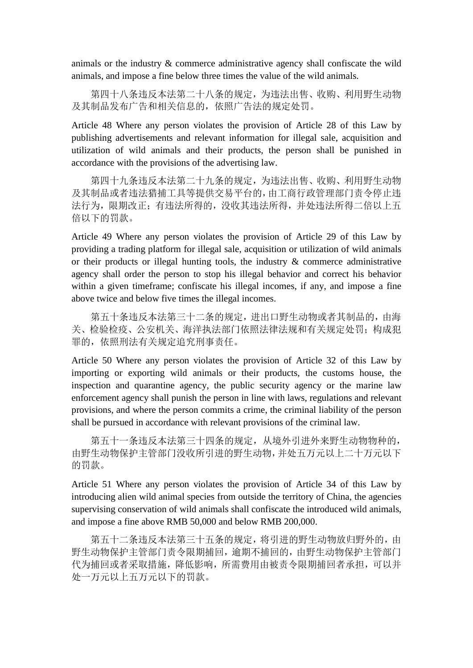animals or the industry & commerce administrative agency shall confiscate the wild animals, and impose a fine below three times the value of the wild animals.

第四十八条违反本法第二十八条的规定,为违法出售、收购、利用野生动物 及其制品发布广告和相关信息的,依照广告法的规定处罚。

Article 48 Where any person violates the provision of Article 28 of this Law by publishing advertisements and relevant information for illegal sale, acquisition and utilization of wild animals and their products, the person shall be punished in accordance with the provisions of the advertising law.

第四十九条违反本法第二十九条的规定,为违法出售、收购、利用野生动物 及其制品或者违法猎捕工具等提供交易平台的,由工商行政管理部门责令停止违 法行为,限期改正;有违法所得的,没收其违法所得,并处违法所得二倍以上五 倍以下的罚款。

Article 49 Where any person violates the provision of Article 29 of this Law by providing a trading platform for illegal sale, acquisition or utilization of wild animals or their products or illegal hunting tools, the industry  $\&$  commerce administrative agency shall order the person to stop his illegal behavior and correct his behavior within a given timeframe; confiscate his illegal incomes, if any, and impose a fine above twice and below five times the illegal incomes.

第五十条违反本法第三十二条的规定,进出口野生动物或者其制品的,由海 关、检验检疫、公安机关、海洋执法部门依照法律法规和有关规定处罚;构成犯 罪的,依照刑法有关规定追究刑事责任。

Article 50 Where any person violates the provision of Article 32 of this Law by importing or exporting wild animals or their products, the customs house, the inspection and quarantine agency, the public security agency or the marine law enforcement agency shall punish the person in line with laws, regulations and relevant provisions, and where the person commits a crime, the criminal liability of the person shall be pursued in accordance with relevant provisions of the criminal law.

第五十一条违反本法第三十四条的规定,从境外引进外来野生动物物种的, 由野生动物保护主管部门没收所引进的野生动物,并处五万元以上二十万元以下 的罚款。

Article 51 Where any person violates the provision of Article 34 of this Law by introducing alien wild animal species from outside the territory of China, the agencies supervising conservation of wild animals shall confiscate the introduced wild animals, and impose a fine above RMB 50,000 and below RMB 200,000.

第五十二条违反本法第三十五条的规定,将引进的野生动物放归野外的,由 野生动物保护主管部门责令限期捕回,逾期不捕回的,由野生动物保护主管部门 代为捕回或者采取措施,降低影响,所需费用由被责令限期捕回者承担,可以并 处一万元以上五万元以下的罚款。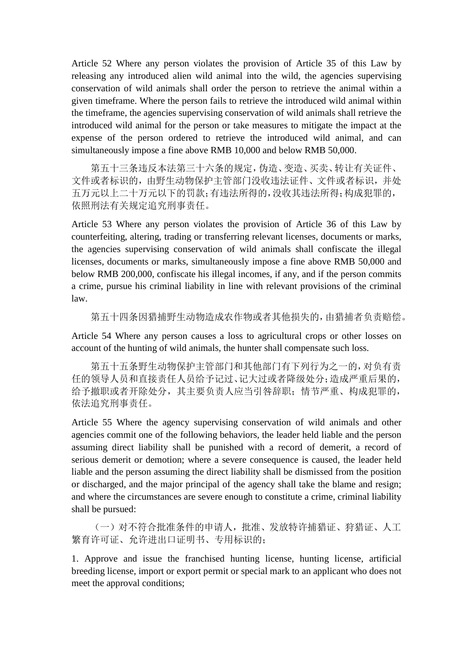Article 52 Where any person violates the provision of Article 35 of this Law by releasing any introduced alien wild animal into the wild, the agencies supervising conservation of wild animals shall order the person to retrieve the animal within a given timeframe. Where the person fails to retrieve the introduced wild animal within the timeframe, the agencies supervising conservation of wild animals shall retrieve the introduced wild animal for the person or take measures to mitigate the impact at the expense of the person ordered to retrieve the introduced wild animal, and can simultaneously impose a fine above RMB 10,000 and below RMB 50,000.

第五十三条违反本法第三十六条的规定,伪造、变造、买卖、转让有关证件、 文件或者标识的,由野生动物保护主管部门没收违法证件、文件或者标识,并处 五万元以上二十万元以下的罚款;有违法所得的,没收其违法所得;构成犯罪的, 依照刑法有关规定追究刑事责任。

Article 53 Where any person violates the provision of Article 36 of this Law by counterfeiting, altering, trading or transferring relevant licenses, documents or marks, the agencies supervising conservation of wild animals shall confiscate the illegal licenses, documents or marks, simultaneously impose a fine above RMB 50,000 and below RMB 200,000, confiscate his illegal incomes, if any, and if the person commits a crime, pursue his criminal liability in line with relevant provisions of the criminal law.

第五十四条因猎捕野生动物造成农作物或者其他损失的,由猎捕者负责赔偿。

Article 54 Where any person causes a loss to agricultural crops or other losses on account of the hunting of wild animals, the hunter shall compensate such loss.

第五十五条野生动物保护主管部门和其他部门有下列行为之一的,对负有责 任的领导人员和直接责任人员给予记过、记大过或者降级处分;造成严重后果的, 给予撤职或者开除处分,其主要负责人应当引咎辞职;情节严重、构成犯罪的, 依法追究刑事责任。

Article 55 Where the agency supervising conservation of wild animals and other agencies commit one of the following behaviors, the leader held liable and the person assuming direct liability shall be punished with a record of demerit, a record of serious demerit or demotion; where a severe consequence is caused, the leader held liable and the person assuming the direct liability shall be dismissed from the position or discharged, and the major principal of the agency shall take the blame and resign; and where the circumstances are severe enough to constitute a crime, criminal liability shall be pursued:

(一)对不符合批准条件的申请人,批准、发放特许捕猎证、狩猎证、人工 繁育许可证、允许进出口证明书、专用标识的;

1. Approve and issue the franchised hunting license, hunting license, artificial breeding license, import or export permit or special mark to an applicant who does not meet the approval conditions;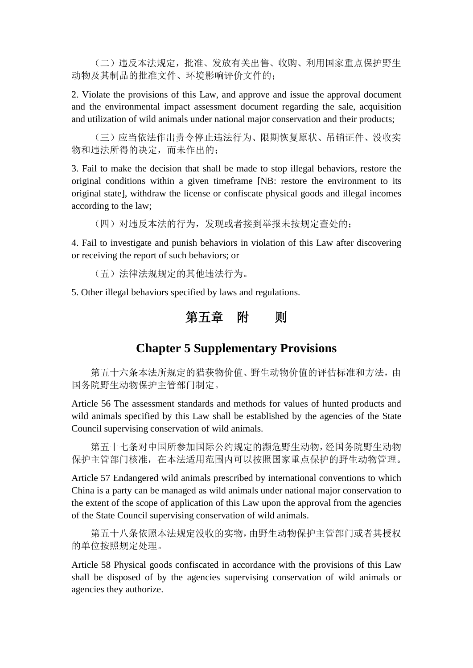(二)违反本法规定,批准、发放有关出售、收购、利用国家重点保护野生 动物及其制品的批准文件、环境影响评价文件的;

2. Violate the provisions of this Law, and approve and issue the approval document and the environmental impact assessment document regarding the sale, acquisition and utilization of wild animals under national major conservation and their products;

(三)应当依法作出责令停止违法行为、限期恢复原状、吊销证件、没收实 物和违法所得的决定,而未作出的;

3. Fail to make the decision that shall be made to stop illegal behaviors, restore the original conditions within a given timeframe [NB: restore the environment to its original state], withdraw the license or confiscate physical goods and illegal incomes according to the law;

(四)对违反本法的行为,发现或者接到举报未按规定查处的;

4. Fail to investigate and punish behaviors in violation of this Law after discovering or receiving the report of such behaviors; or

(五)法律法规规定的其他违法行为。

5. Other illegal behaviors specified by laws and regulations.

## 第五章 附 则

## **Chapter 5 Supplementary Provisions**

第五十六条本法所规定的猎获物价值、野生动物价值的评估标准和方法,由 国务院野生动物保护主管部门制定。

Article 56 The assessment standards and methods for values of hunted products and wild animals specified by this Law shall be established by the agencies of the State Council supervising conservation of wild animals.

第五十七条对中国所参加国际公约规定的濒危野生动物,经国务院野生动物 保护主管部门核准,在本法适用范围内可以按照国家重点保护的野生动物管理。

Article 57 Endangered wild animals prescribed by international conventions to which China is a party can be managed as wild animals under national major conservation to the extent of the scope of application of this Law upon the approval from the agencies of the State Council supervising conservation of wild animals.

第五十八条依照本法规定没收的实物,由野生动物保护主管部门或者其授权 的单位按照规定处理。

Article 58 Physical goods confiscated in accordance with the provisions of this Law shall be disposed of by the agencies supervising conservation of wild animals or agencies they authorize.